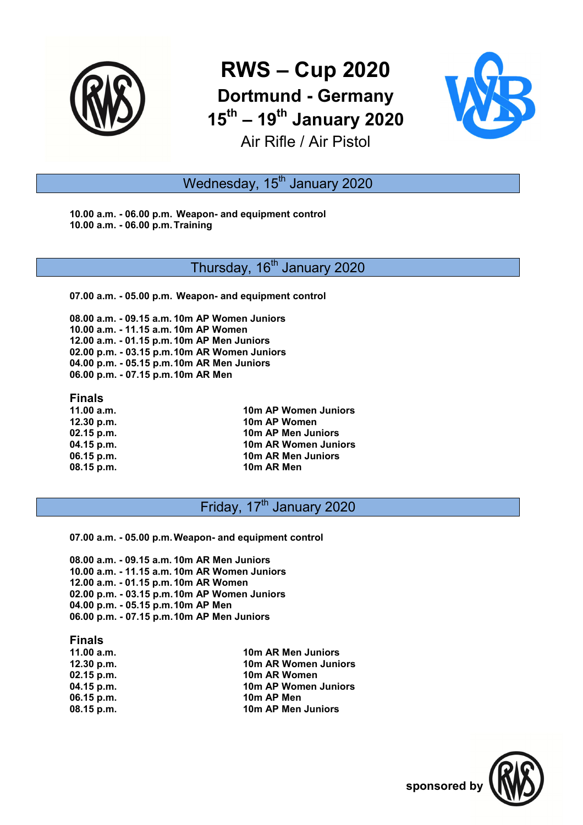

# **RWS – Cup 2020 Dortmund - Germany 15th – 19th January 2020** Air Rifle / Air Pistol



## Wednesday, 15<sup>th</sup> January 2020

**10.00 a.m. - 06.00 p.m. Weapon- and equipment control 10.00 a.m. - 06.00 p.m. Training** 

### Thursday, 16<sup>th</sup> January 2020

**07.00 a.m. - 05.00 p.m. Weapon- and equipment control** 

**08.00 a.m. - 09.15 a.m. 10m AP Women Juniors 10.00 a.m. - 11.15 a.m. 10m AP Women 12.00 a.m. - 01.15 p.m. 10m AP Men Juniors 02.00 p.m. - 03.15 p.m. 10m AR Women Juniors 04.00 p.m. - 05.15 p.m. 10m AR Men Juniors 06.00 p.m. - 07.15 p.m. 10m AR Men** 

#### **Finals**

**11.00 a.m. 10m AP Women Juniors 12.30 p.m. 10m AP Women 10m AP Men Juniors 04.15 p.m. 10m AR Women Juniors 06.15 p.m. 10m AR Men Juniors 08.15 p.m.** 10m AR Men

## Friday, 17<sup>th</sup> January 2020

**07.00 a.m. - 05.00 p.m. Weapon- and equipment control** 

**08.00 a.m. - 09.15 a.m. 10m AR Men Juniors 10.00 a.m. - 11.15 a.m. 10m AR Women Juniors 12.00 a.m. - 01.15 p.m. 10m AR Women 02.00 p.m. - 03.15 p.m. 10m AP Women Juniors 04.00 p.m. - 05.15 p.m. 10m AP Men 06.00 p.m. - 07.15 p.m. 10m AP Men Juniors** 

#### **Finals**

| 11.00 a.m.   | 10m AR Men Juniors   |
|--------------|----------------------|
| 12.30 p.m.   | 10m AR Women Juniors |
| $02.15$ p.m. | 10m AR Women         |
| 04.15 p.m.   | 10m AP Women Juniors |
| $06.15$ p.m. | 10m AP Men           |
| $08.15$ p.m. | 10m AP Men Juniors   |